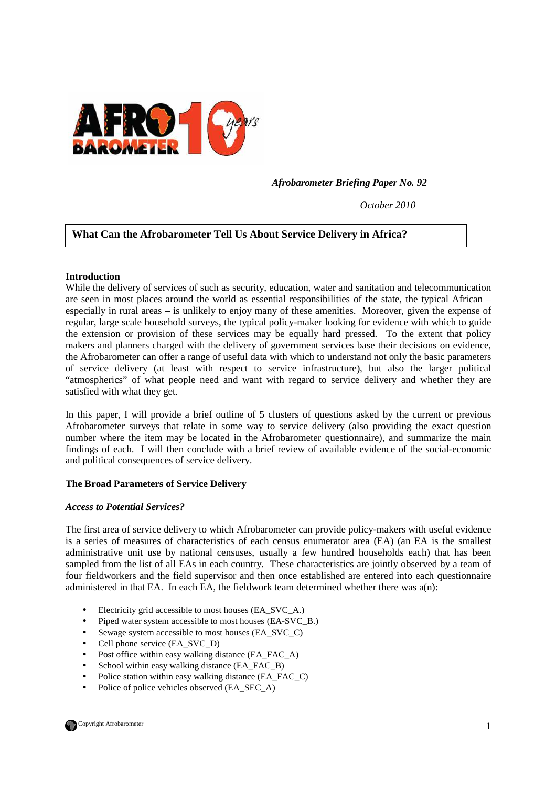

 *Afrobarometer Briefing Paper No. 92* 

*October 2010* 

# **What Can the Afrobarometer Tell Us About Service Delivery in Africa?**

### **Introduction**

While the delivery of services of such as security, education, water and sanitation and telecommunication are seen in most places around the world as essential responsibilities of the state, the typical African – especially in rural areas – is unlikely to enjoy many of these amenities. Moreover, given the expense of regular, large scale household surveys, the typical policy-maker looking for evidence with which to guide the extension or provision of these services may be equally hard pressed. To the extent that policy makers and planners charged with the delivery of government services base their decisions on evidence, the Afrobarometer can offer a range of useful data with which to understand not only the basic parameters of service delivery (at least with respect to service infrastructure), but also the larger political "atmospherics" of what people need and want with regard to service delivery and whether they are satisfied with what they get.

In this paper, I will provide a brief outline of 5 clusters of questions asked by the current or previous Afrobarometer surveys that relate in some way to service delivery (also providing the exact question number where the item may be located in the Afrobarometer questionnaire), and summarize the main findings of each. I will then conclude with a brief review of available evidence of the social-economic and political consequences of service delivery.

### **The Broad Parameters of Service Delivery**

### *Access to Potential Services?*

The first area of service delivery to which Afrobarometer can provide policy-makers with useful evidence is a series of measures of characteristics of each census enumerator area (EA) (an EA is the smallest administrative unit use by national censuses, usually a few hundred households each) that has been sampled from the list of all EAs in each country. These characteristics are jointly observed by a team of four fieldworkers and the field supervisor and then once established are entered into each questionnaire administered in that EA. In each EA, the fieldwork team determined whether there was  $a(n)$ :

- Electricity grid accessible to most houses (EA\_SVC\_A.)
- Piped water system accessible to most houses (EA-SVC\_B.)
- Sewage system accessible to most houses (EA\_SVC\_C)
- Cell phone service (EA\_SVC\_D)
- Post office within easy walking distance (EA\_FAC\_A)
- School within easy walking distance (EA\_FAC\_B)
- Police station within easy walking distance (EA\_FAC\_C)
- Police of police vehicles observed (EA\_SEC\_A)

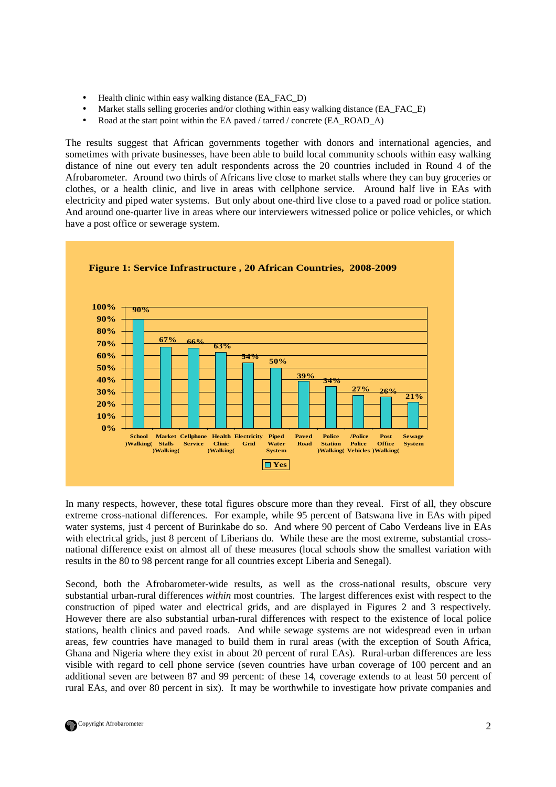- Health clinic within easy walking distance (EA\_FAC\_D)
- Market stalls selling groceries and/or clothing within easy walking distance (EA\_FAC\_E)
- Road at the start point within the EA paved / tarred / concrete (EA\_ROAD\_A)

The results suggest that African governments together with donors and international agencies, and sometimes with private businesses, have been able to build local community schools within easy walking distance of nine out every ten adult respondents across the 20 countries included in Round 4 of the Afrobarometer. Around two thirds of Africans live close to market stalls where they can buy groceries or clothes, or a health clinic, and live in areas with cellphone service. Around half live in EAs with electricity and piped water systems. But only about one-third live close to a paved road or police station. And around one-quarter live in areas where our interviewers witnessed police or police vehicles, or which have a post office or sewerage system.



**Figure 1: Service Infrastructure , 20 African Countries, 2008-2009**

In many respects, however, these total figures obscure more than they reveal. First of all, they obscure extreme cross-national differences. For example, while 95 percent of Batswana live in EAs with piped water systems, just 4 percent of Burinkabe do so. And where 90 percent of Cabo Verdeans live in EAs with electrical grids, just 8 percent of Liberians do. While these are the most extreme, substantial crossnational difference exist on almost all of these measures (local schools show the smallest variation with results in the 80 to 98 percent range for all countries except Liberia and Senegal).

Second, both the Afrobarometer-wide results, as well as the cross-national results, obscure very substantial urban-rural differences *within* most countries. The largest differences exist with respect to the construction of piped water and electrical grids, and are displayed in Figures 2 and 3 respectively. However there are also substantial urban-rural differences with respect to the existence of local police stations, health clinics and paved roads. And while sewage systems are not widespread even in urban areas, few countries have managed to build them in rural areas (with the exception of South Africa, Ghana and Nigeria where they exist in about 20 percent of rural EAs). Rural-urban differences are less visible with regard to cell phone service (seven countries have urban coverage of 100 percent and an additional seven are between 87 and 99 percent: of these 14, coverage extends to at least 50 percent of rural EAs, and over 80 percent in six). It may be worthwhile to investigate how private companies and

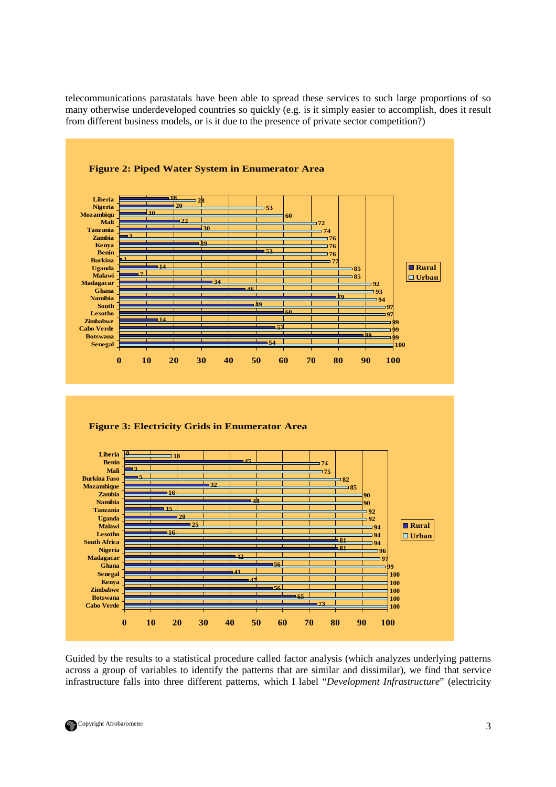telecommunications parastatals have been able to spread these services to such large proportions of so many otherwise underdeveloped countries so quickly (e.g. is it simply easier to accomplish, does it result from different business models, or is it due to the presence of private sector competition?)



Guided by the results to a statistical procedure called factor analysis (which analyzes underlying patterns across a group of variables to identify the patterns that are similar and dissimilar), we find that service infrastructure falls into three different patterns, which I label "*Development Infrastructure*" (electricity

![](_page_2_Picture_3.jpeg)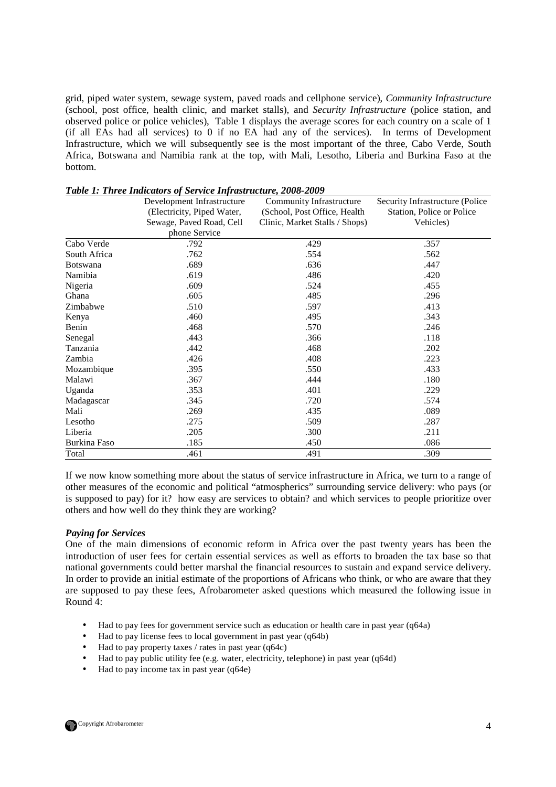grid, piped water system, sewage system, paved roads and cellphone service), *Community Infrastructure* (school, post office, health clinic, and market stalls), and *Security Infrastructure* (police station, and observed police or police vehicles), Table 1 displays the average scores for each country on a scale of 1 (if all EAs had all services) to 0 if no EA had any of the services). In terms of Development Infrastructure, which we will subsequently see is the most important of the three, Cabo Verde, South Africa, Botswana and Namibia rank at the top, with Mali, Lesotho, Liberia and Burkina Faso at the bottom.

|                 | Development Infrastructure | <b>Community Infrastructure</b> | Security Infrastructure (Police |
|-----------------|----------------------------|---------------------------------|---------------------------------|
|                 | (Electricity, Piped Water, | (School, Post Office, Health    | Station, Police or Police       |
|                 | Sewage, Paved Road, Cell   | Clinic, Market Stalls / Shops)  | Vehicles)                       |
|                 | phone Service              |                                 |                                 |
| Cabo Verde      | .792                       | .429                            | .357                            |
| South Africa    | .762                       | .554                            | .562                            |
| <b>Botswana</b> | .689                       | .636                            | .447                            |
| Namibia         | .619                       | .486                            | .420                            |
| Nigeria         | .609                       | .524                            | .455                            |
| Ghana           | .605                       | .485                            | .296                            |
| Zimbabwe        | .510                       | .597                            | .413                            |
| Kenya           | .460                       | .495                            | .343                            |
| Benin           | .468                       | .570                            | .246                            |
| Senegal         | .443                       | .366                            | .118                            |
| Tanzania        | .442                       | .468                            | .202                            |
| Zambia          | .426                       | .408                            | .223                            |
| Mozambique      | .395                       | .550                            | .433                            |
| Malawi          | .367                       | .444                            | .180                            |
| Uganda          | .353                       | .401                            | .229                            |
| Madagascar      | .345                       | .720                            | .574                            |
| Mali            | .269                       | .435                            | .089                            |
| Lesotho         | .275                       | .509                            | .287                            |
| Liberia         | .205                       | .300                            | .211                            |
| Burkina Faso    | .185                       | .450                            | .086                            |
| Total           | .461                       | .491                            | .309                            |

### *Table 1: Three Indicators of Service Infrastructure, 2008-2009*

If we now know something more about the status of service infrastructure in Africa, we turn to a range of other measures of the economic and political "atmospherics" surrounding service delivery: who pays (or is supposed to pay) for it? how easy are services to obtain? and which services to people prioritize over others and how well do they think they are working?

### *Paying for Services*

One of the main dimensions of economic reform in Africa over the past twenty years has been the introduction of user fees for certain essential services as well as efforts to broaden the tax base so that national governments could better marshal the financial resources to sustain and expand service delivery. In order to provide an initial estimate of the proportions of Africans who think, or who are aware that they are supposed to pay these fees, Afrobarometer asked questions which measured the following issue in Round 4:

- Had to pay fees for government service such as education or health care in past year (q64a)
- Had to pay license fees to local government in past year (q64b)
- Had to pay property taxes / rates in past year (q64c)
- Had to pay public utility fee (e.g. water, electricity, telephone) in past year (q64d)
- Had to pay income tax in past year (q64e)

![](_page_3_Picture_11.jpeg)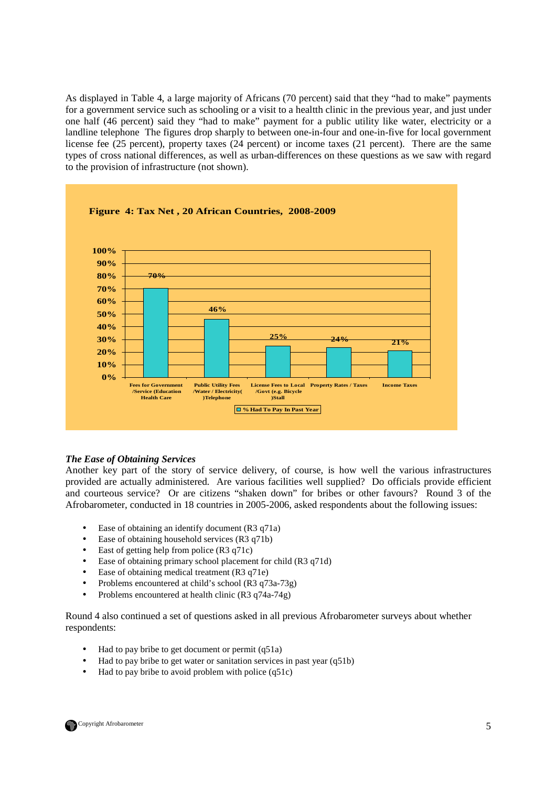As displayed in Table 4, a large majority of Africans (70 percent) said that they "had to make" payments for a government service such as schooling or a visit to a healtth clinic in the previous year, and just under one half (46 percent) said they "had to make" payment for a public utility like water, electricity or a landline telephone The figures drop sharply to between one-in-four and one-in-five for local government license fee (25 percent), property taxes (24 percent) or income taxes (21 percent). There are the same types of cross national differences, as well as urban-differences on these questions as we saw with regard to the provision of infrastructure (not shown).

![](_page_4_Figure_1.jpeg)

## *The Ease of Obtaining Services*

Another key part of the story of service delivery, of course, is how well the various infrastructures provided are actually administered. Are various facilities well supplied? Do officials provide efficient and courteous service? Or are citizens "shaken down" for bribes or other favours? Round 3 of the Afrobarometer, conducted in 18 countries in 2005-2006, asked respondents about the following issues:

- Ease of obtaining an identify document (R3 q71a)
- Ease of obtaining household services (R3 q71b)
- East of getting help from police (R3 q71c)
- Ease of obtaining primary school placement for child (R3 q71d)
- Ease of obtaining medical treatment (R3 q71e)
- Problems encountered at child's school (R3 q73a-73g)
- Problems encountered at health clinic (R3 q74a-74g)

Round 4 also continued a set of questions asked in all previous Afrobarometer surveys about whether respondents:

- Had to pay bribe to get document or permit (q51a)
- Had to pay bribe to get water or sanitation services in past year (q51b)
- Had to pay bribe to avoid problem with police (q51c)

![](_page_4_Picture_15.jpeg)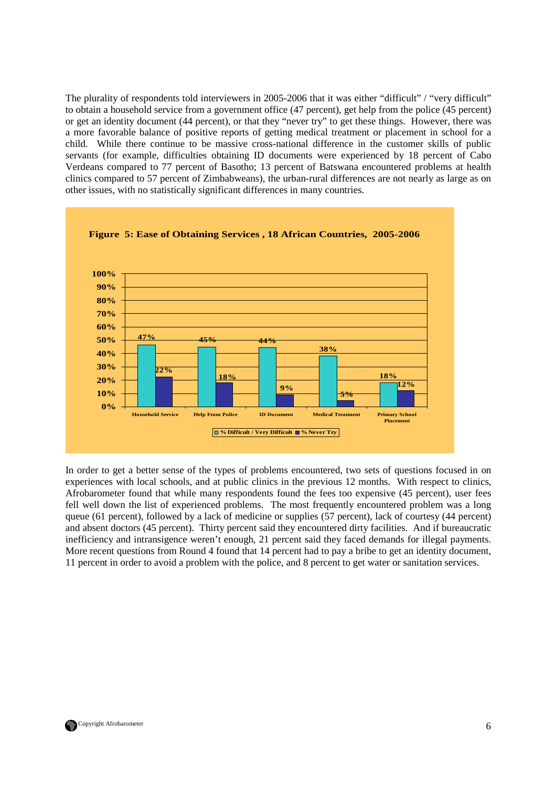The plurality of respondents told interviewers in 2005-2006 that it was either "difficult" / "very difficult" to obtain a household service from a government office (47 percent), get help from the police (45 percent) or get an identity document (44 percent), or that they "never try" to get these things. However, there was a more favorable balance of positive reports of getting medical treatment or placement in school for a child. While there continue to be massive cross-national difference in the customer skills of public servants (for example, difficulties obtaining ID documents were experienced by 18 percent of Cabo Verdeans compared to 77 percent of Basotho; 13 percent of Batswana encountered problems at health clinics compared to 57 percent of Zimbabweans), the urban-rural differences are not nearly as large as on other issues, with no statistically significant differences in many countries.

![](_page_5_Figure_1.jpeg)

In order to get a better sense of the types of problems encountered, two sets of questions focused in on experiences with local schools, and at public clinics in the previous 12 months. With respect to clinics, Afrobarometer found that while many respondents found the fees too expensive (45 percent), user fees fell well down the list of experienced problems. The most frequently encountered problem was a long queue (61 percent), followed by a lack of medicine or supplies (57 percent), lack of courtesy (44 percent) and absent doctors (45 percent). Thirty percent said they encountered dirty facilities. And if bureaucratic inefficiency and intransigence weren't enough, 21 percent said they faced demands for illegal payments. More recent questions from Round 4 found that 14 percent had to pay a bribe to get an identity document, 11 percent in order to avoid a problem with the police, and 8 percent to get water or sanitation services.

![](_page_5_Picture_3.jpeg)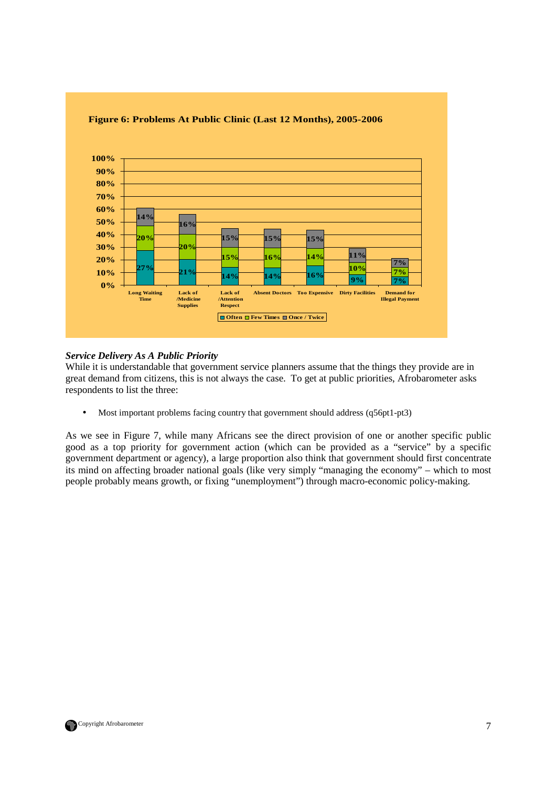![](_page_6_Figure_0.jpeg)

## **Figure 6: Problems At Public Clinic (Last 12 Months), 2005-2006**

## *Service Delivery As A Public Priority*

While it is understandable that government service planners assume that the things they provide are in great demand from citizens, this is not always the case. To get at public priorities, Afrobarometer asks respondents to list the three:

• Most important problems facing country that government should address (q56pt1-pt3)

As we see in Figure 7, while many Africans see the direct provision of one or another specific public good as a top priority for government action (which can be provided as a "service" by a specific government department or agency), a large proportion also think that government should first concentrate its mind on affecting broader national goals (like very simply "managing the economy" – which to most people probably means growth, or fixing "unemployment") through macro-economic policy-making.

![](_page_6_Picture_6.jpeg)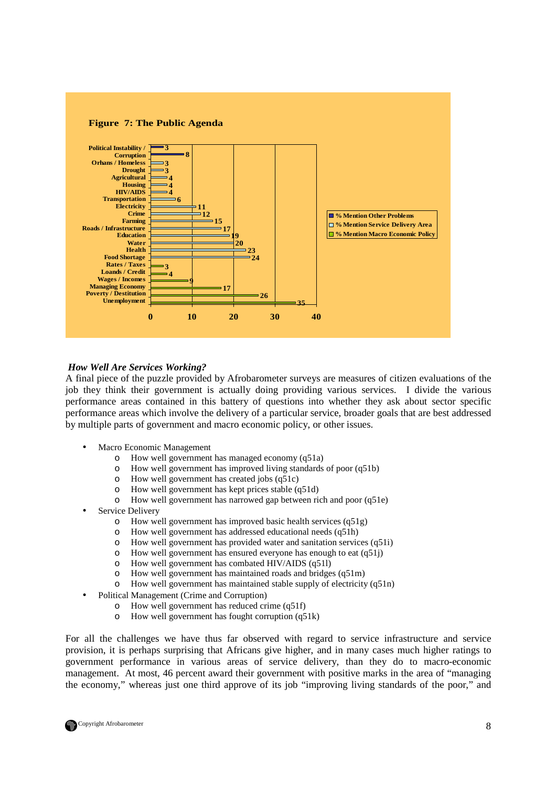![](_page_7_Figure_0.jpeg)

### *How Well Are Services Working?*

A final piece of the puzzle provided by Afrobarometer surveys are measures of citizen evaluations of the job they think their government is actually doing providing various services. I divide the various performance areas contained in this battery of questions into whether they ask about sector specific performance areas which involve the delivery of a particular service, broader goals that are best addressed by multiple parts of government and macro economic policy, or other issues.

- Macro Economic Management
	- o How well government has managed economy (q51a)
	- o How well government has improved living standards of poor (q51b)
	- o How well government has created jobs (q51c)
	- o How well government has kept prices stable (q51d)
	- o How well government has narrowed gap between rich and poor (q51e)
- Service Delivery
	- o How well government has improved basic health services (q51g)
	- o How well government has addressed educational needs (q51h)
	- o How well government has provided water and sanitation services (q51i)
	- o How well government has ensured everyone has enough to eat (q51j)
	- o How well government has combated HIV/AIDS (q51l)
	- o How well government has maintained roads and bridges (q51m)
	- o How well government has maintained stable supply of electricity (q51n)
- Political Management (Crime and Corruption)
	- o How well government has reduced crime (q51f)
	- o How well government has fought corruption (q51k)

For all the challenges we have thus far observed with regard to service infrastructure and service provision, it is perhaps surprising that Africans give higher, and in many cases much higher ratings to government performance in various areas of service delivery, than they do to macro-economic management. At most, 46 percent award their government with positive marks in the area of "managing the economy," whereas just one third approve of its job "improving living standards of the poor," and

![](_page_7_Picture_21.jpeg)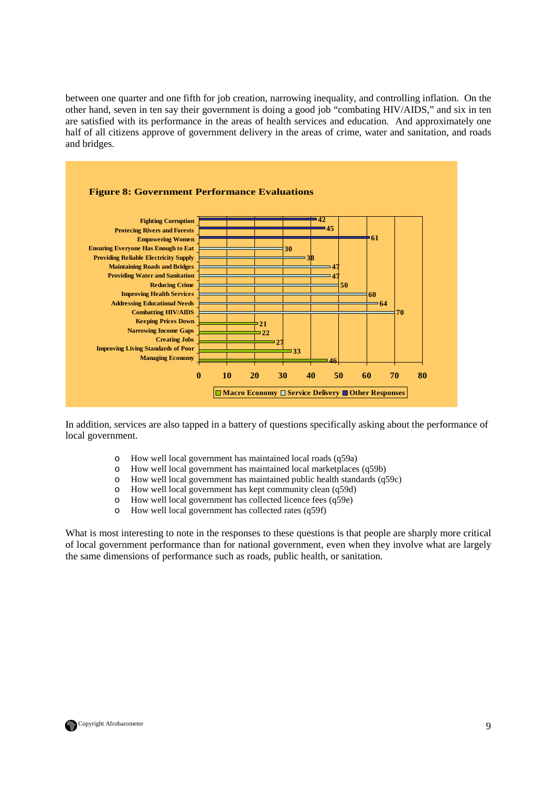between one quarter and one fifth for job creation, narrowing inequality, and controlling inflation. On the other hand, seven in ten say their government is doing a good job "combating HIV/AIDS," and six in ten are satisfied with its performance in the areas of health services and education. And approximately one half of all citizens approve of government delivery in the areas of crime, water and sanitation, and roads and bridges.

![](_page_8_Figure_1.jpeg)

In addition, services are also tapped in a battery of questions specifically asking about the performance of local government.

- o How well local government has maintained local roads (q59a)
- o How well local government has maintained local marketplaces (q59b)
- o How well local government has maintained public health standards (q59c)
- o How well local government has kept community clean (q59d)
- o How well local government has collected licence fees (q59e)
- o How well local government has collected rates (q59f)

What is most interesting to note in the responses to these questions is that people are sharply more critical of local government performance than for national government, even when they involve what are largely the same dimensions of performance such as roads, public health, or sanitation.

![](_page_8_Picture_10.jpeg)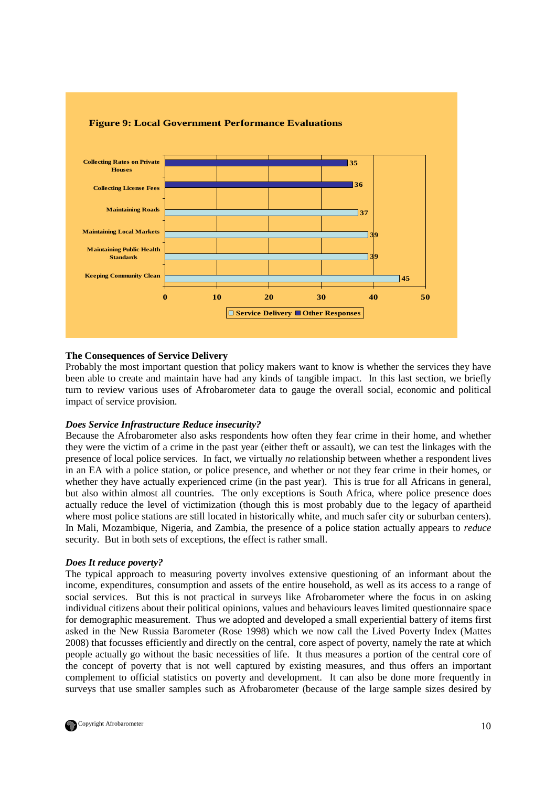![](_page_9_Figure_0.jpeg)

### **The Consequences of Service Delivery**

Probably the most important question that policy makers want to know is whether the services they have been able to create and maintain have had any kinds of tangible impact. In this last section, we briefly turn to review various uses of Afrobarometer data to gauge the overall social, economic and political impact of service provision.

## *Does Service Infrastructure Reduce insecurity?*

Because the Afrobarometer also asks respondents how often they fear crime in their home, and whether they were the victim of a crime in the past year (either theft or assault), we can test the linkages with the presence of local police services. In fact, we virtually *no* relationship between whether a respondent lives in an EA with a police station, or police presence, and whether or not they fear crime in their homes, or whether they have actually experienced crime (in the past year). This is true for all Africans in general, but also within almost all countries. The only exceptions is South Africa, where police presence does actually reduce the level of victimization (though this is most probably due to the legacy of apartheid where most police stations are still located in historically white, and much safer city or suburban centers). In Mali, Mozambique, Nigeria, and Zambia, the presence of a police station actually appears to *reduce* security. But in both sets of exceptions, the effect is rather small.

### *Does It reduce poverty?*

The typical approach to measuring poverty involves extensive questioning of an informant about the income, expenditures, consumption and assets of the entire household, as well as its access to a range of social services. But this is not practical in surveys like Afrobarometer where the focus in on asking individual citizens about their political opinions, values and behaviours leaves limited questionnaire space for demographic measurement. Thus we adopted and developed a small experiential battery of items first asked in the New Russia Barometer (Rose 1998) which we now call the Lived Poverty Index (Mattes 2008) that focusses efficiently and directly on the central, core aspect of poverty, namely the rate at which people actually go without the basic necessities of life. It thus measures a portion of the central core of the concept of poverty that is not well captured by existing measures, and thus offers an important complement to official statistics on poverty and development. It can also be done more frequently in surveys that use smaller samples such as Afrobarometer (because of the large sample sizes desired by

![](_page_9_Picture_7.jpeg)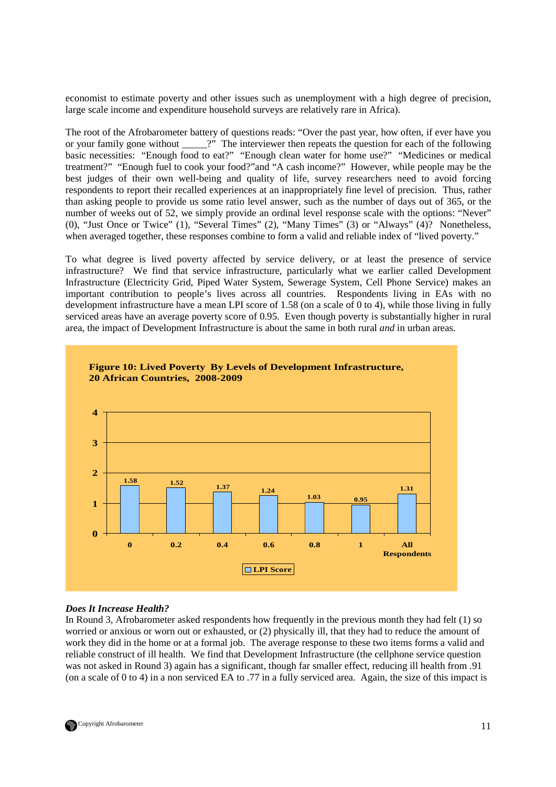economist to estimate poverty and other issues such as unemployment with a high degree of precision, large scale income and expenditure household surveys are relatively rare in Africa).

The root of the Afrobarometer battery of questions reads: "Over the past year, how often, if ever have you or your family gone without  $\cdots$ ?" The interviewer then repeats the question for each of the following basic necessities: "Enough food to eat?" "Enough clean water for home use?" "Medicines or medical treatment?" "Enough fuel to cook your food?"and "A cash income?" However, while people may be the best judges of their own well-being and quality of life, survey researchers need to avoid forcing respondents to report their recalled experiences at an inappropriately fine level of precision. Thus, rather than asking people to provide us some ratio level answer, such as the number of days out of 365, or the number of weeks out of 52, we simply provide an ordinal level response scale with the options: "Never" (0), "Just Once or Twice" (1), "Several Times" (2), "Many Times" (3) or "Always" (4)? Nonetheless, when averaged together, these responses combine to form a valid and reliable index of "lived poverty."

To what degree is lived poverty affected by service delivery, or at least the presence of service infrastructure? We find that service infrastructure, particularly what we earlier called Development Infrastructure (Electricity Grid, Piped Water System, Sewerage System, Cell Phone Service) makes an important contribution to people's lives across all countries. Respondents living in EAs with no development infrastructure have a mean LPI score of 1.58 (on a scale of 0 to 4), while those living in fully serviced areas have an average poverty score of 0.95. Even though poverty is substantially higher in rural area, the impact of Development Infrastructure is about the same in both rural *and* in urban areas.

![](_page_10_Figure_3.jpeg)

## *Does It Increase Health?*

In Round 3, Afrobarometer asked respondents how frequently in the previous month they had felt (1) so worried or anxious or worn out or exhausted, or (2) physically ill, that they had to reduce the amount of work they did in the home or at a formal job. The average response to these two items forms a valid and reliable construct of ill health. We find that Development Infrastructure (the cellphone service question was not asked in Round 3) again has a significant, though far smaller effect, reducing ill health from .91 (on a scale of 0 to 4) in a non serviced EA to .77 in a fully serviced area. Again, the size of this impact is